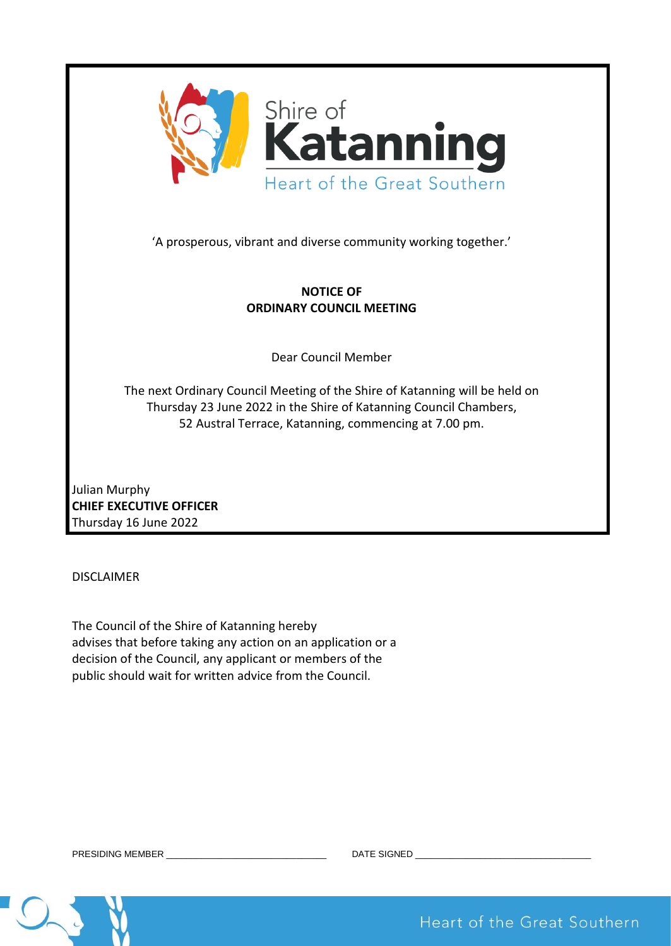

'A prosperous, vibrant and diverse community working together.'

# **NOTICE OF ORDINARY COUNCIL MEETING**

Dear Council Member

The next Ordinary Council Meeting of the Shire of Katanning will be held on Thursday 23 June 2022 in the Shire of Katanning Council Chambers, 52 Austral Terrace, Katanning, commencing at 7.00 pm.

Julian Murphy **CHIEF EXECUTIVE OFFICER** Thursday 16 June 2022

DISCLAIMER

The Council of the Shire of Katanning hereby advises that before taking any action on an application or a decision of the Council, any applicant or members of the public should wait for written advice from the Council.

Heart of the Great Southern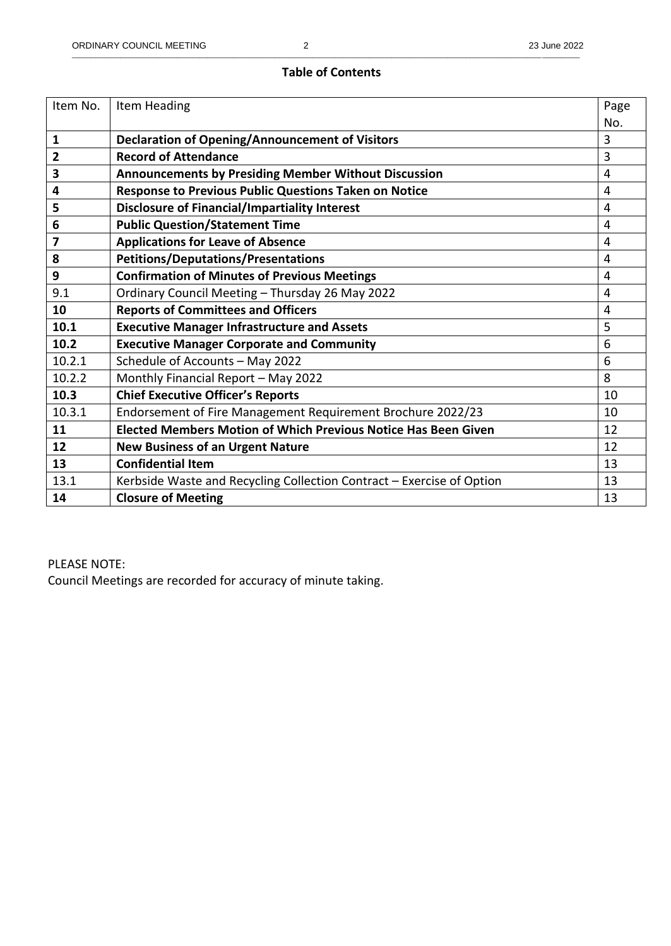# **Table of Contents**

| Item No.       | Item Heading                                                          | Page           |
|----------------|-----------------------------------------------------------------------|----------------|
|                |                                                                       | No.            |
| 1              | <b>Declaration of Opening/Announcement of Visitors</b>                | 3              |
| $\overline{2}$ | <b>Record of Attendance</b>                                           | 3              |
| 3              | <b>Announcements by Presiding Member Without Discussion</b>           | $\overline{4}$ |
| 4              | Response to Previous Public Questions Taken on Notice                 | $\overline{4}$ |
| 5              | <b>Disclosure of Financial/Impartiality Interest</b>                  | 4              |
| 6              | <b>Public Question/Statement Time</b>                                 | 4              |
| 7              | <b>Applications for Leave of Absence</b>                              | 4              |
| 8              | <b>Petitions/Deputations/Presentations</b>                            | $\overline{4}$ |
| 9              | <b>Confirmation of Minutes of Previous Meetings</b>                   | 4              |
| 9.1            | Ordinary Council Meeting - Thursday 26 May 2022                       | $\overline{4}$ |
| 10             | <b>Reports of Committees and Officers</b>                             | 4              |
| 10.1           | <b>Executive Manager Infrastructure and Assets</b>                    | 5              |
| 10.2           | <b>Executive Manager Corporate and Community</b>                      | 6              |
| 10.2.1         | Schedule of Accounts - May 2022                                       | 6              |
| 10.2.2         | Monthly Financial Report - May 2022                                   | 8              |
| 10.3           | <b>Chief Executive Officer's Reports</b>                              | 10             |
| 10.3.1         | Endorsement of Fire Management Requirement Brochure 2022/23           | 10             |
| 11             | <b>Elected Members Motion of Which Previous Notice Has Been Given</b> | 12             |
| 12             | <b>New Business of an Urgent Nature</b>                               | 12             |
| 13             | <b>Confidential Item</b>                                              | 13             |
| 13.1           | Kerbside Waste and Recycling Collection Contract - Exercise of Option | 13             |
| 14             | <b>Closure of Meeting</b>                                             | 13             |

# PLEASE NOTE:

Council Meetings are recorded for accuracy of minute taking.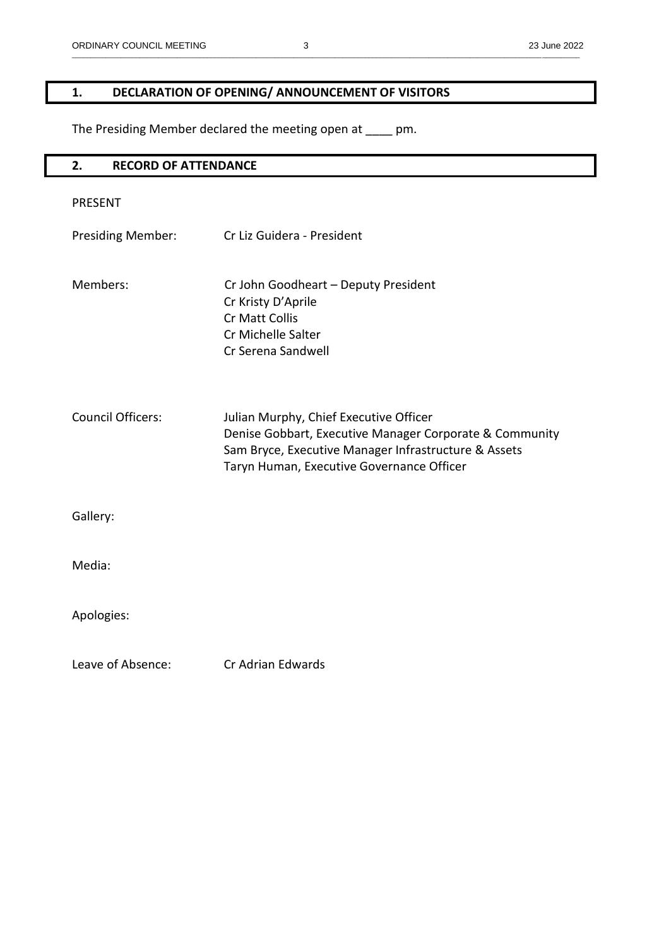# **1. DECLARATION OF OPENING/ ANNOUNCEMENT OF VISITORS**

The Presiding Member declared the meeting open at \_\_\_\_ pm.

| 2.<br><b>RECORD OF ATTENDANCE</b> |                                                                                                                                                                                                        |  |
|-----------------------------------|--------------------------------------------------------------------------------------------------------------------------------------------------------------------------------------------------------|--|
| <b>PRESENT</b>                    |                                                                                                                                                                                                        |  |
| <b>Presiding Member:</b>          | Cr Liz Guidera - President                                                                                                                                                                             |  |
| Members:                          | Cr John Goodheart - Deputy President<br>Cr Kristy D'Aprile<br>Cr Matt Collis<br>Cr Michelle Salter<br>Cr Serena Sandwell                                                                               |  |
| <b>Council Officers:</b>          | Julian Murphy, Chief Executive Officer<br>Denise Gobbart, Executive Manager Corporate & Community<br>Sam Bryce, Executive Manager Infrastructure & Assets<br>Taryn Human, Executive Governance Officer |  |
| Gallery:                          |                                                                                                                                                                                                        |  |
| Media:                            |                                                                                                                                                                                                        |  |
| Apologies:                        |                                                                                                                                                                                                        |  |
| Leave of Absence:                 | Cr Adrian Edwards                                                                                                                                                                                      |  |

\_\_\_\_\_\_\_\_\_\_\_\_\_\_\_\_\_\_\_\_\_\_\_\_\_\_\_\_\_\_\_\_\_\_\_\_\_\_\_\_\_\_\_\_\_\_\_\_\_\_\_\_\_\_\_\_\_\_\_\_\_\_\_\_\_\_\_\_\_\_\_\_\_\_\_\_\_\_\_\_\_\_\_\_\_\_\_\_\_\_\_\_\_\_\_\_\_\_\_\_\_\_\_\_\_\_\_\_\_\_\_\_\_\_\_\_\_\_\_\_\_\_\_\_\_\_\_\_\_\_\_\_\_\_\_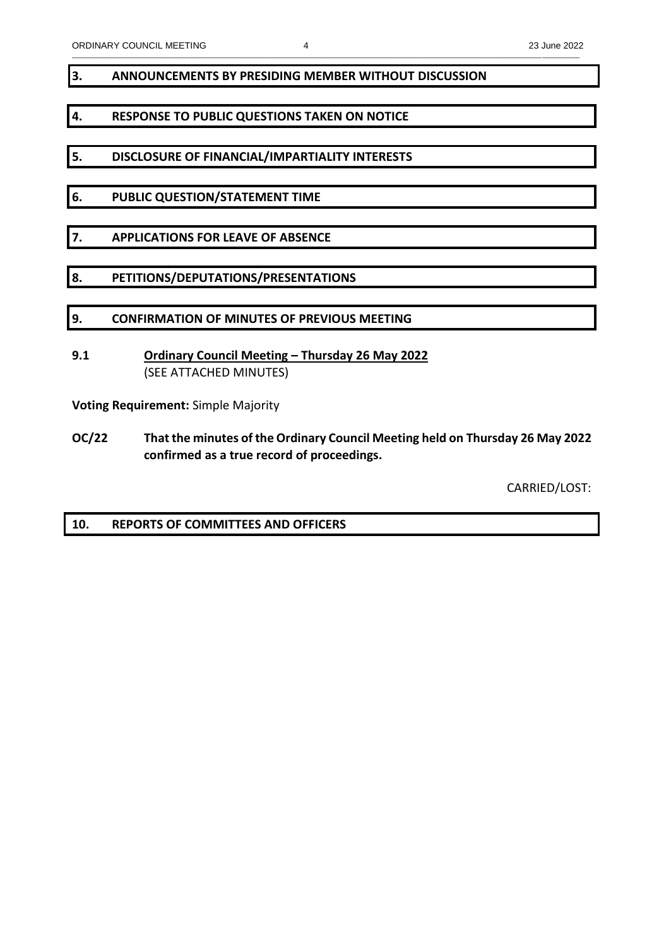## **3. ANNOUNCEMENTS BY PRESIDING MEMBER WITHOUT DISCUSSION**

# **4. RESPONSE TO PUBLIC QUESTIONS TAKEN ON NOTICE**

- **5. DISCLOSURE OF FINANCIAL/IMPARTIALITY INTERESTS**
- **6. PUBLIC QUESTION/STATEMENT TIME**
- **7. APPLICATIONS FOR LEAVE OF ABSENCE**
- **8. PETITIONS/DEPUTATIONS/PRESENTATIONS**
- **9. CONFIRMATION OF MINUTES OF PREVIOUS MEETING**
- **9.1 Ordinary Council Meeting – Thursday 26 May 2022** (SEE ATTACHED MINUTES)

**Voting Requirement:** Simple Majority

**OC/22 That the minutes of the Ordinary Council Meeting held on Thursday 26 May 2022 confirmed as a true record of proceedings.**

CARRIED/LOST:

**10. REPORTS OF COMMITTEES AND OFFICERS**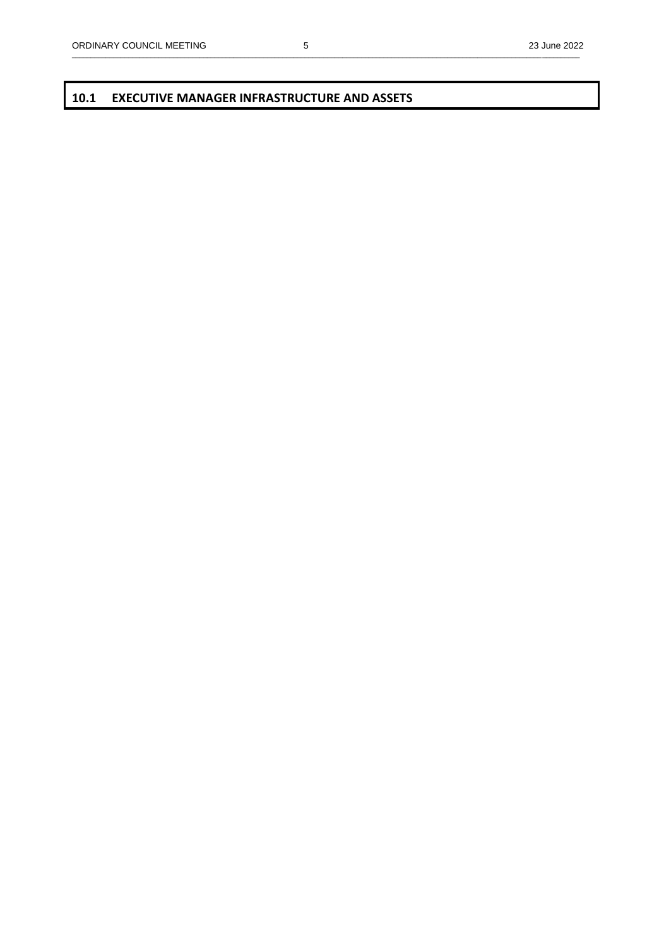\_\_\_\_\_\_\_\_\_\_\_\_\_\_\_\_\_\_\_\_\_\_\_\_\_\_\_\_\_\_\_\_\_\_\_\_\_\_\_\_\_\_\_\_\_\_\_\_\_\_\_\_\_\_\_\_\_\_\_\_\_\_\_\_\_\_\_\_\_\_\_\_\_\_\_\_\_\_\_\_\_\_\_\_\_\_\_\_\_\_\_\_\_\_\_\_\_\_\_\_\_\_\_\_\_\_\_\_\_\_\_\_\_\_\_\_\_\_\_\_\_\_\_\_\_\_\_\_\_\_\_\_\_\_\_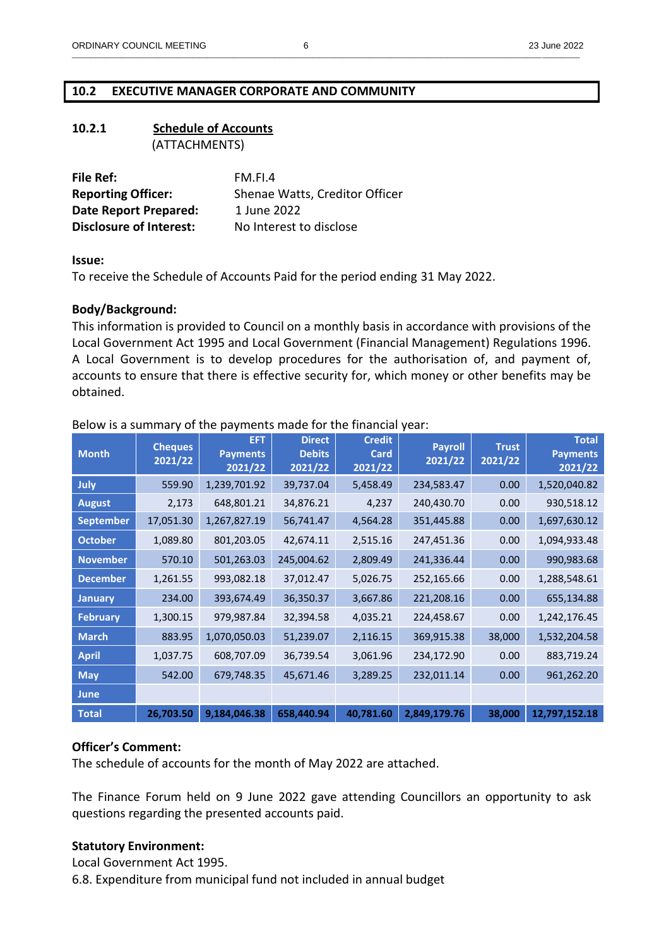## **10.2 EXECUTIVE MANAGER CORPORATE AND COMMUNITY**

| 10.2.1 | <b>Schedule of Accounts</b> |  |  |
|--------|-----------------------------|--|--|
|        | (ATTACHMENTS)               |  |  |

| File Ref:                      | FM.FL4                         |
|--------------------------------|--------------------------------|
| <b>Reporting Officer:</b>      | Shenae Watts, Creditor Officer |
| Date Report Prepared:          | 1 June 2022                    |
| <b>Disclosure of Interest:</b> | No Interest to disclose        |

#### **Issue:**

To receive the Schedule of Accounts Paid for the period ending 31 May 2022.

## **Body/Background:**

This information is provided to Council on a monthly basis in accordance with provisions of the Local Government Act 1995 and Local Government (Financial Management) Regulations 1996. A Local Government is to develop procedures for the authorisation of, and payment of, accounts to ensure that there is effective security for, which money or other benefits may be obtained.

| <b>Month</b>     | <b>Cheques</b><br>2021/22 | <b>EFT</b><br><b>Payments</b><br>2021/22 | <b>Direct</b><br><b>Debits</b><br>2021/22 | <b>Credit</b><br>Card<br>2021/22 | <b>Payroll</b><br>2021/22 | <b>Trust</b><br>2021/22 | <b>Total</b><br><b>Payments</b><br>2021/22 |
|------------------|---------------------------|------------------------------------------|-------------------------------------------|----------------------------------|---------------------------|-------------------------|--------------------------------------------|
| July             | 559.90                    | 1,239,701.92                             | 39,737.04                                 | 5,458.49                         | 234,583.47                | 0.00                    | 1,520,040.82                               |
| <b>August</b>    | 2,173                     | 648,801.21                               | 34,876.21                                 | 4,237                            | 240,430.70                | 0.00                    | 930,518.12                                 |
| <b>September</b> | 17,051.30                 | 1,267,827.19                             | 56,741.47                                 | 4,564.28                         | 351,445.88                | 0.00                    | 1,697,630.12                               |
| <b>October</b>   | 1,089.80                  | 801,203.05                               | 42,674.11                                 | 2,515.16                         | 247,451.36                | 0.00                    | 1,094,933.48                               |
| <b>November</b>  | 570.10                    | 501,263.03                               | 245,004.62                                | 2,809.49                         | 241,336.44                | 0.00                    | 990,983.68                                 |
| <b>December</b>  | 1,261.55                  | 993,082.18                               | 37,012.47                                 | 5,026.75                         | 252,165.66                | 0.00                    | 1,288,548.61                               |
| <b>January</b>   | 234.00                    | 393,674.49                               | 36,350.37                                 | 3,667.86                         | 221,208.16                | 0.00                    | 655,134.88                                 |
| <b>February</b>  | 1,300.15                  | 979,987.84                               | 32,394.58                                 | 4,035.21                         | 224,458.67                | 0.00                    | 1,242,176.45                               |
| <b>March</b>     | 883.95                    | 1,070,050.03                             | 51,239.07                                 | 2,116.15                         | 369,915.38                | 38,000                  | 1,532,204.58                               |
| <b>April</b>     | 1,037.75                  | 608,707.09                               | 36,739.54                                 | 3,061.96                         | 234,172.90                | 0.00                    | 883,719.24                                 |
| <b>May</b>       | 542.00                    | 679,748.35                               | 45,671.46                                 | 3,289.25                         | 232,011.14                | 0.00                    | 961,262.20                                 |
| <b>June</b>      |                           |                                          |                                           |                                  |                           |                         |                                            |
| <b>Total</b>     | 26,703.50                 | 9,184,046.38                             | 658,440.94                                | 40,781.60                        | 2,849,179.76              | 38,000                  | 12,797,152.18                              |

### Below is a summary of the payments made for the financial year:

#### **Officer's Comment:**

The schedule of accounts for the month of May 2022 are attached.

The Finance Forum held on 9 June 2022 gave attending Councillors an opportunity to ask questions regarding the presented accounts paid.

## **Statutory Environment:**

Local Government Act 1995. 6.8. Expenditure from municipal fund not included in annual budget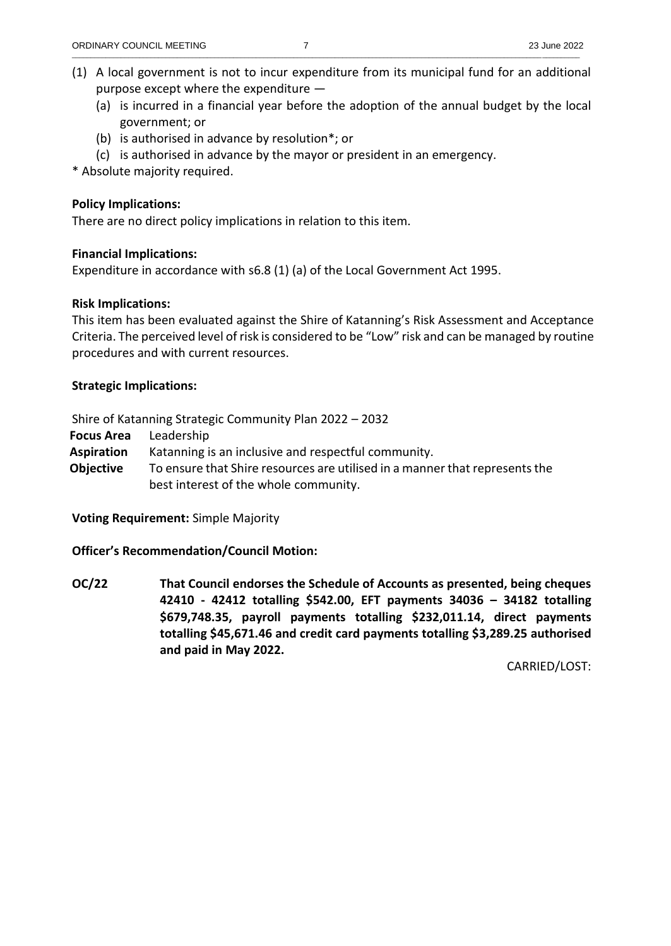- (1) A local government is not to incur expenditure from its municipal fund for an additional purpose except where the expenditure —
	- (a) is incurred in a financial year before the adoption of the annual budget by the local government; or
	- (b) is authorised in advance by resolution\*; or
	- (c) is authorised in advance by the mayor or president in an emergency.

\* Absolute majority required.

# **Policy Implications:**

There are no direct policy implications in relation to this item.

# **Financial Implications:**

Expenditure in accordance with s6.8 (1) (a) of the Local Government Act 1995.

# **Risk Implications:**

This item has been evaluated against the Shire of Katanning's Risk Assessment and Acceptance Criteria. The perceived level of risk is considered to be "Low" risk and can be managed by routine procedures and with current resources.

# **Strategic Implications:**

Shire of Katanning Strategic Community Plan 2022 – 2032

**Focus Area** Leadership

**Aspiration** Katanning is an inclusive and respectful community.

**Objective** To ensure that Shire resources are utilised in a manner that represents the best interest of the whole community.

**Voting Requirement:** Simple Majority

**Officer's Recommendation/Council Motion:**

**OC/22 That Council endorses the Schedule of Accounts as presented, being cheques 42410 - 42412 totalling \$542.00, EFT payments 34036 – 34182 totalling \$679,748.35, payroll payments totalling \$232,011.14, direct payments totalling \$45,671.46 and credit card payments totalling \$3,289.25 authorised and paid in May 2022.**

CARRIED/LOST: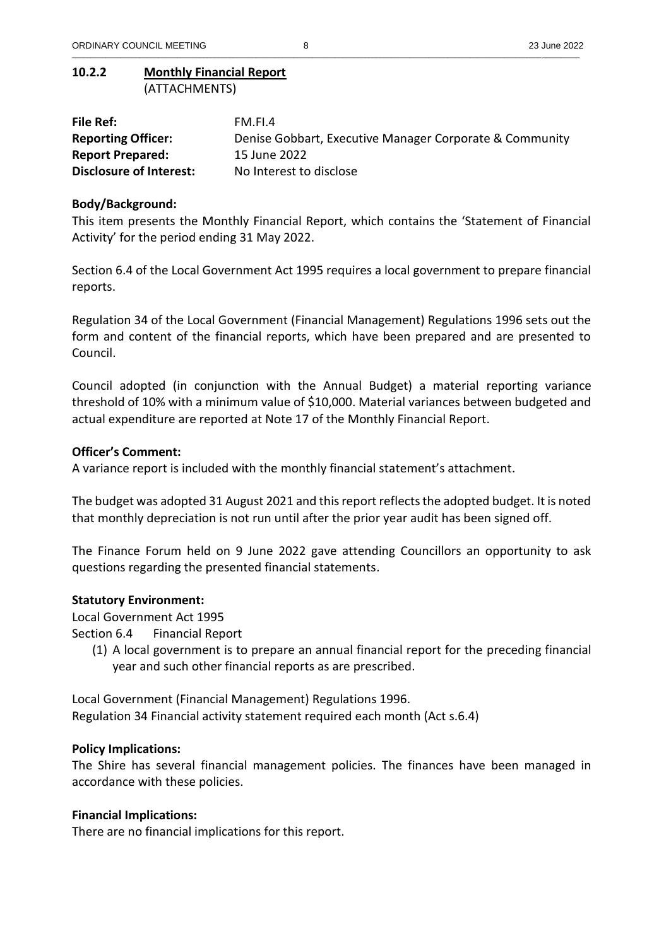## **10.2.2 Monthly Financial Report** (ATTACHMENTS)

| File Ref:                      | FM.FI.4                                                 |
|--------------------------------|---------------------------------------------------------|
| <b>Reporting Officer:</b>      | Denise Gobbart, Executive Manager Corporate & Community |
| <b>Report Prepared:</b>        | 15 June 2022                                            |
| <b>Disclosure of Interest:</b> | No Interest to disclose                                 |

\_\_\_\_\_\_\_\_\_\_\_\_\_\_\_\_\_\_\_\_\_\_\_\_\_\_\_\_\_\_\_\_\_\_\_\_\_\_\_\_\_\_\_\_\_\_\_\_\_\_\_\_\_\_\_\_\_\_\_\_\_\_\_\_\_\_\_\_\_\_\_\_\_\_\_\_\_\_\_\_\_\_\_\_\_\_\_\_\_\_\_\_\_\_\_\_\_\_\_\_\_\_\_\_\_\_\_\_\_\_\_\_\_\_\_\_\_\_\_\_\_\_\_\_\_\_\_\_\_\_\_\_\_\_\_

## **Body/Background:**

This item presents the Monthly Financial Report, which contains the 'Statement of Financial Activity' for the period ending 31 May 2022.

Section 6.4 of the Local Government Act 1995 requires a local government to prepare financial reports.

Regulation 34 of the Local Government (Financial Management) Regulations 1996 sets out the form and content of the financial reports, which have been prepared and are presented to Council.

Council adopted (in conjunction with the Annual Budget) a material reporting variance threshold of 10% with a minimum value of \$10,000. Material variances between budgeted and actual expenditure are reported at Note 17 of the Monthly Financial Report.

### **Officer's Comment:**

A variance report is included with the monthly financial statement's attachment.

The budget was adopted 31 August 2021 and this report reflects the adopted budget. It is noted that monthly depreciation is not run until after the prior year audit has been signed off.

The Finance Forum held on 9 June 2022 gave attending Councillors an opportunity to ask questions regarding the presented financial statements.

#### **Statutory Environment:**

Local Government Act 1995

Section 6.4 Financial Report

(1) A local government is to prepare an annual financial report for the preceding financial year and such other financial reports as are prescribed.

Local Government (Financial Management) Regulations 1996. Regulation 34 Financial activity statement required each month (Act s.6.4)

#### **Policy Implications:**

The Shire has several financial management policies. The finances have been managed in accordance with these policies.

## **Financial Implications:**

There are no financial implications for this report.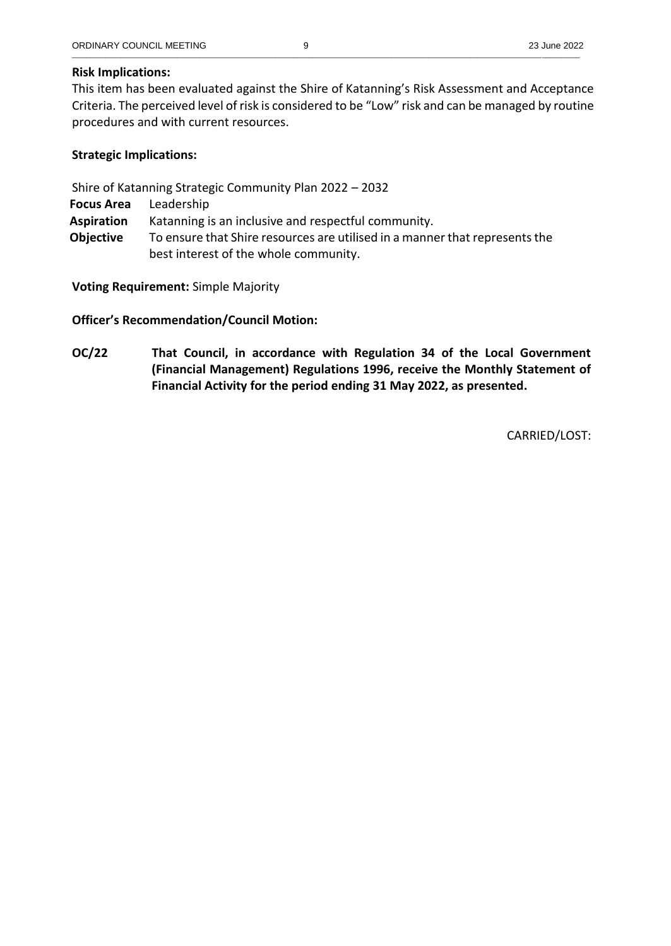## **Risk Implications:**

This item has been evaluated against the Shire of Katanning's Risk Assessment and Acceptance Criteria. The perceived level of risk is considered to be "Low" risk and can be managed by routine procedures and with current resources.

# **Strategic Implications:**

Shire of Katanning Strategic Community Plan 2022 – 2032

**Focus Area** Leadership

**Aspiration** Katanning is an inclusive and respectful community.

**Objective** To ensure that Shire resources are utilised in a manner that represents the best interest of the whole community.

**Voting Requirement:** Simple Majority

**Officer's Recommendation/Council Motion:**

**OC/22 That Council, in accordance with Regulation 34 of the Local Government (Financial Management) Regulations 1996, receive the Monthly Statement of Financial Activity for the period ending 31 May 2022, as presented.**

CARRIED/LOST: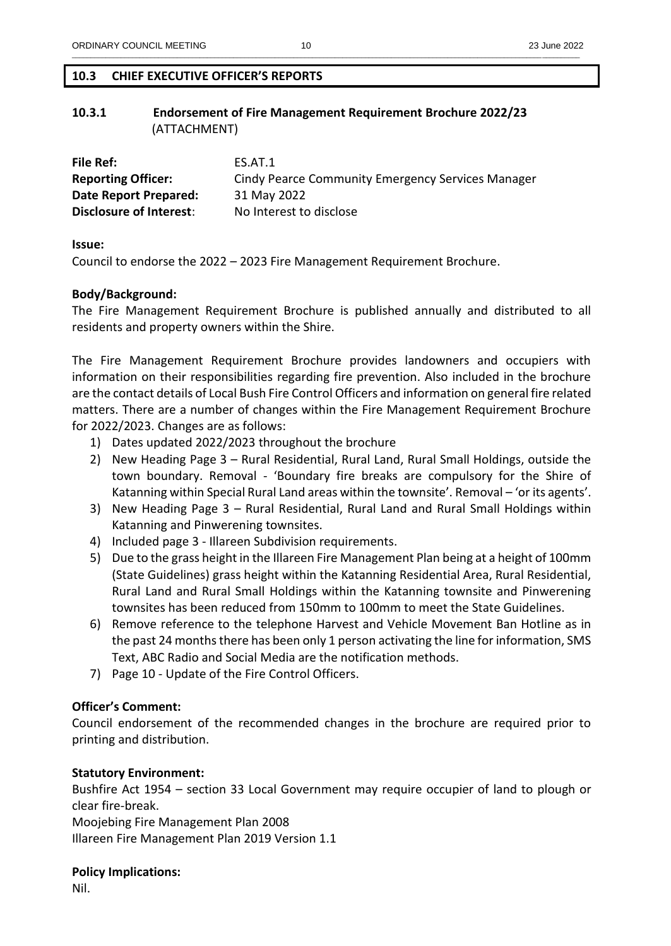## **10.3 CHIEF EXECUTIVE OFFICER'S REPORTS**

## **10.3.1 Endorsement of Fire Management Requirement Brochure 2022/23**  (ATTACHMENT)

| File Ref:                      | ES.AT.1                                           |
|--------------------------------|---------------------------------------------------|
| <b>Reporting Officer:</b>      | Cindy Pearce Community Emergency Services Manager |
| Date Report Prepared:          | 31 May 2022                                       |
| <b>Disclosure of Interest:</b> | No Interest to disclose                           |

**Issue:**

Council to endorse the 2022 – 2023 Fire Management Requirement Brochure.

### **Body/Background:**

The Fire Management Requirement Brochure is published annually and distributed to all residents and property owners within the Shire.

The Fire Management Requirement Brochure provides landowners and occupiers with information on their responsibilities regarding fire prevention. Also included in the brochure are the contact details of Local Bush Fire Control Officers and information on general fire related matters. There are a number of changes within the Fire Management Requirement Brochure for 2022/2023. Changes are as follows:

- 1) Dates updated 2022/2023 throughout the brochure
- 2) New Heading Page 3 Rural Residential, Rural Land, Rural Small Holdings, outside the town boundary. Removal - 'Boundary fire breaks are compulsory for the Shire of Katanning within Special Rural Land areas within the townsite'. Removal – 'or its agents'.
- 3) New Heading Page 3 Rural Residential, Rural Land and Rural Small Holdings within Katanning and Pinwerening townsites.
- 4) Included page 3 Illareen Subdivision requirements.
- 5) Due to the grass height in the Illareen Fire Management Plan being at a height of 100mm (State Guidelines) grass height within the Katanning Residential Area, Rural Residential, Rural Land and Rural Small Holdings within the Katanning townsite and Pinwerening townsites has been reduced from 150mm to 100mm to meet the State Guidelines.
- 6) Remove reference to the telephone Harvest and Vehicle Movement Ban Hotline as in the past 24 months there has been only 1 person activating the line for information, SMS Text, ABC Radio and Social Media are the notification methods.
- 7) Page 10 Update of the Fire Control Officers.

## **Officer's Comment:**

Council endorsement of the recommended changes in the brochure are required prior to printing and distribution.

## **Statutory Environment:**

Bushfire Act 1954 – section 33 Local Government may require occupier of land to plough or clear fire-break.

Moojebing Fire Management Plan 2008 Illareen Fire Management Plan 2019 Version 1.1

## **Policy Implications:**

Nil.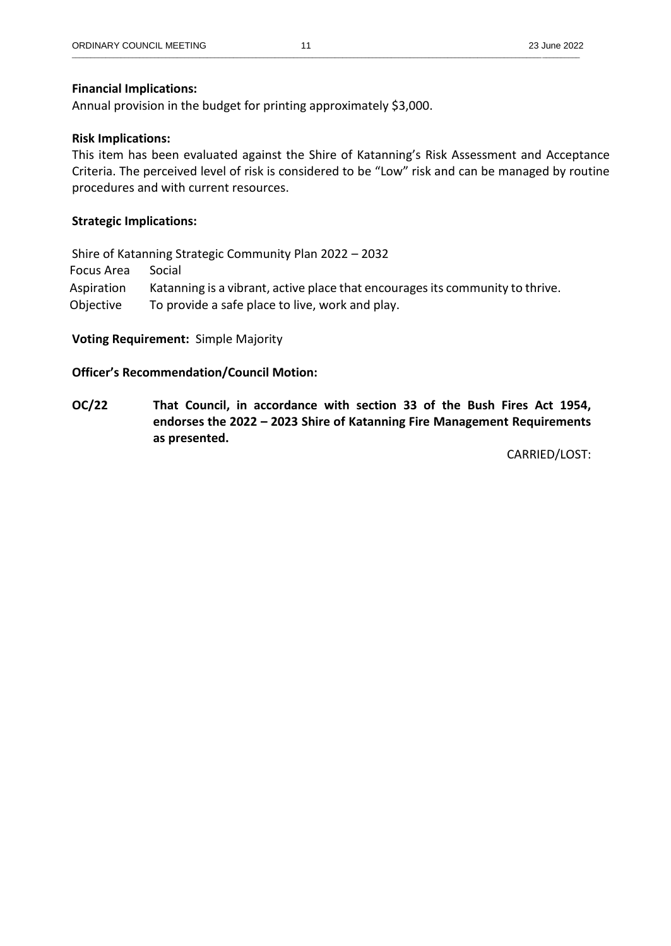Annual provision in the budget for printing approximately \$3,000.

## **Risk Implications:**

This item has been evaluated against the Shire of Katanning's Risk Assessment and Acceptance Criteria. The perceived level of risk is considered to be "Low" risk and can be managed by routine procedures and with current resources.

## **Strategic Implications:**

Shire of Katanning Strategic Community Plan 2022 – 2032 Focus Area Social Aspiration Katanning is a vibrant, active place that encourages its community to thrive. Objective To provide a safe place to live, work and play.

## **Voting Requirement:** Simple Majority

## **Officer's Recommendation/Council Motion:**

**OC/22 That Council, in accordance with section 33 of the Bush Fires Act 1954, endorses the 2022 – 2023 Shire of Katanning Fire Management Requirements as presented.**

CARRIED/LOST: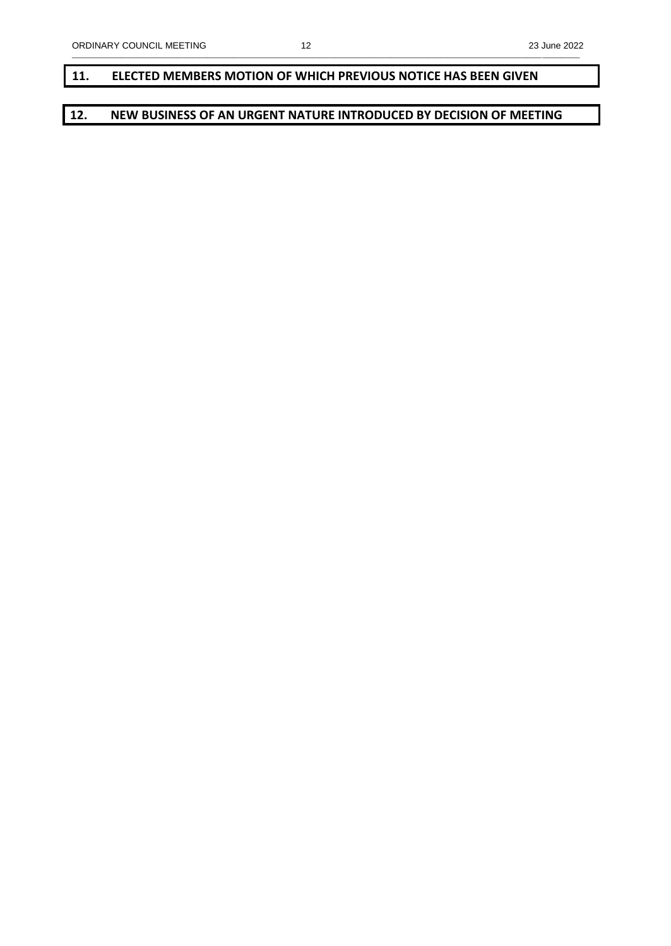## **11. ELECTED MEMBERS MOTION OF WHICH PREVIOUS NOTICE HAS BEEN GIVEN**

# **12. NEW BUSINESS OF AN URGENT NATURE INTRODUCED BY DECISION OF MEETING**